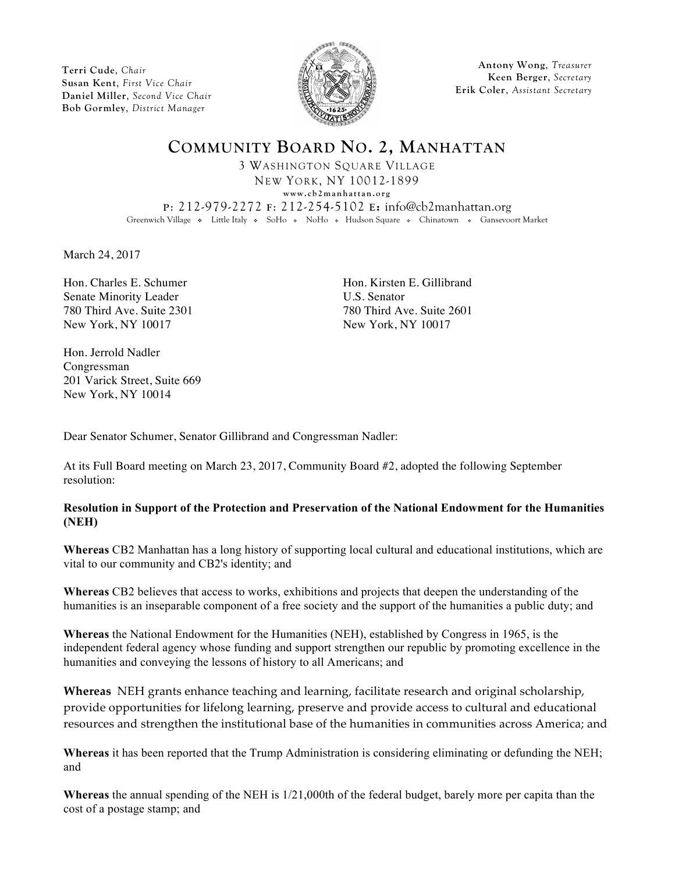**Terri Cude**, *Chair* **Susan Kent**, *First Vice Chair* **Daniel Miller**, *Second Vice Chair* **Bob Gormley**, *District Manager*



**Antony Wong**, *Treasurer* **Keen Berger**, *Secretary* **Erik Coler**, *Assistant Secretary*

**COMMUNITY BOARD NO. 2, MANHATTAN** 3 WASHINGTON SQUARE VILLAGE NEW YORK, NY 10012-1899 **www.cb2manhattan.org P**: 212-979-2272 **F**: 212-254-5102 **E:** info@cb2manhattan.org Greenwich Village • Little Italy • SoHo • NoHo • Hudson Square • Chinatown • Gansevoort Market

March 24, 2017

Hon. Charles E. Schumer Hon. Kirsten E. Gillibrand Senate Minority Leader U.S. Senator 780 Third Ave. Suite 2301 780 Third Ave. Suite 2601 New York, NY 10017 New York, NY 10017

Hon. Jerrold Nadler Congressman 201 Varick Street, Suite 669 New York, NY 10014

Dear Senator Schumer, Senator Gillibrand and Congressman Nadler:

At its Full Board meeting on March 23, 2017, Community Board #2, adopted the following September resolution:

## **Resolution in Support of the Protection and Preservation of the National Endowment for the Humanities (NEH)**

**Whereas** CB2 Manhattan has a long history of supporting local cultural and educational institutions, which are vital to our community and CB2's identity; and

**Whereas** CB2 believes that access to works, exhibitions and projects that deepen the understanding of the humanities is an inseparable component of a free society and the support of the humanities a public duty; and

**Whereas** the National Endowment for the Humanities (NEH), established by Congress in 1965, is the independent federal agency whose funding and support strengthen our republic by promoting excellence in the humanities and conveying the lessons of history to all Americans; and

**Whereas** NEH grants enhance teaching and learning, facilitate research and original scholarship, provide opportunities for lifelong learning, preserve and provide access to cultural and educational resources and strengthen the institutional base of the humanities in communities across America; and

**Whereas** it has been reported that the Trump Administration is considering eliminating or defunding the NEH; and

**Whereas** the annual spending of the NEH is 1/21,000th of the federal budget, barely more per capita than the cost of a postage stamp; and